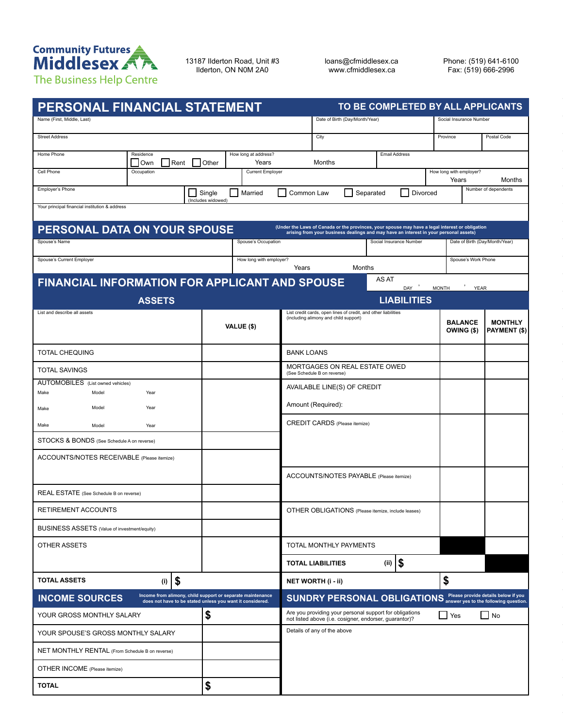

13187 Ilderton Road, Unit #3 Ilderton, ON N0M 2A0

loans@cfmiddlesex.ca www.cfmiddlesex.ca

Phone: (519) 641-6100 Fax: (519) 666-2996

| PERSONAL FINANCIAL STATEMENT                                                                                                                                                                                             |                                                                                                                         | TO BE COMPLETED BY ALL APPLICANTS                                                                                 |                                                                |  |  |  |  |  |  |  |  |
|--------------------------------------------------------------------------------------------------------------------------------------------------------------------------------------------------------------------------|-------------------------------------------------------------------------------------------------------------------------|-------------------------------------------------------------------------------------------------------------------|----------------------------------------------------------------|--|--|--|--|--|--|--|--|
| Name (First, Middle, Last)                                                                                                                                                                                               |                                                                                                                         | Date of Birth (Day/Month/Year)                                                                                    | Social Insurance Number                                        |  |  |  |  |  |  |  |  |
| <b>Street Address</b>                                                                                                                                                                                                    |                                                                                                                         | City                                                                                                              | Province<br>Postal Code                                        |  |  |  |  |  |  |  |  |
| Residence<br>Home Phone<br>Rent<br>Own                                                                                                                                                                                   | How long at address?<br>Years<br>Other                                                                                  | <b>Email Address</b><br>Months                                                                                    |                                                                |  |  |  |  |  |  |  |  |
| Cell Phone<br>Occupation                                                                                                                                                                                                 | <b>Current Employer</b>                                                                                                 |                                                                                                                   | How long with employer?<br>Years<br>Months                     |  |  |  |  |  |  |  |  |
| Employer's Phone                                                                                                                                                                                                         | Married<br>Single                                                                                                       | Common Law<br>Separated<br>Divorced                                                                               | Number of dependents                                           |  |  |  |  |  |  |  |  |
| (Includes widowed)<br>Your principal financial institution & address                                                                                                                                                     |                                                                                                                         |                                                                                                                   |                                                                |  |  |  |  |  |  |  |  |
| (Under the Laws of Canada or the provinces, your spouse may have a legal interest or obligation<br>PERSONAL DATA ON YOUR SPOUSE<br>arising from your business dealings and may have an interest in your personal assets) |                                                                                                                         |                                                                                                                   |                                                                |  |  |  |  |  |  |  |  |
| Spouse's Name                                                                                                                                                                                                            | Spouse's Occupation                                                                                                     | Social Insurance Number                                                                                           | Date of Birth (Day/Month/Year)                                 |  |  |  |  |  |  |  |  |
| Spouse's Current Employer                                                                                                                                                                                                | How long with employer?                                                                                                 | Months<br>Years                                                                                                   | Spouse's Work Phone                                            |  |  |  |  |  |  |  |  |
| <b>FINANCIAL INFORMATION FOR APPLICANT AND SPOUSE</b>                                                                                                                                                                    |                                                                                                                         | AS AT                                                                                                             |                                                                |  |  |  |  |  |  |  |  |
| <b>ASSETS</b>                                                                                                                                                                                                            |                                                                                                                         | DAY '<br><b>LIABILITIES</b>                                                                                       | $\cdot$<br><b>MONTH</b><br><b>YEAR</b>                         |  |  |  |  |  |  |  |  |
| List and describe all assets                                                                                                                                                                                             |                                                                                                                         | List credit cards, open lines of credit, and other liabilities<br>(including alimony and child support)           |                                                                |  |  |  |  |  |  |  |  |
|                                                                                                                                                                                                                          | VALUE (\$)                                                                                                              |                                                                                                                   | <b>BALANCE</b><br><b>MONTHLY</b><br>OWING (\$)<br>PAYMENT (\$) |  |  |  |  |  |  |  |  |
| <b>TOTAL CHEQUING</b>                                                                                                                                                                                                    |                                                                                                                         | <b>BANK LOANS</b>                                                                                                 |                                                                |  |  |  |  |  |  |  |  |
| <b>TOTAL SAVINGS</b>                                                                                                                                                                                                     |                                                                                                                         | MORTGAGES ON REAL ESTATE OWED<br>(See Schedule B on reverse)                                                      |                                                                |  |  |  |  |  |  |  |  |
| AUTOMOBILES (List owned vehicles)<br>Make<br>Model<br>Year                                                                                                                                                               |                                                                                                                         | AVAILABLE LINE(S) OF CREDIT                                                                                       |                                                                |  |  |  |  |  |  |  |  |
| Year<br>Model<br>Make                                                                                                                                                                                                    |                                                                                                                         | Amount (Required):                                                                                                |                                                                |  |  |  |  |  |  |  |  |
| Make<br>Model<br>Year                                                                                                                                                                                                    |                                                                                                                         | <b>CREDIT CARDS</b> (Please itemize)                                                                              |                                                                |  |  |  |  |  |  |  |  |
| STOCKS & BONDS (See Schedule A on reverse)                                                                                                                                                                               |                                                                                                                         |                                                                                                                   |                                                                |  |  |  |  |  |  |  |  |
| ACCOUNTS/NOTES RECEIVABLE (Please itemize)                                                                                                                                                                               |                                                                                                                         |                                                                                                                   |                                                                |  |  |  |  |  |  |  |  |
|                                                                                                                                                                                                                          |                                                                                                                         | ACCOUNTS/NOTES PAYABLE (Please itemize)                                                                           |                                                                |  |  |  |  |  |  |  |  |
| REAL ESTATE (See Schedule B on reverse)                                                                                                                                                                                  |                                                                                                                         |                                                                                                                   |                                                                |  |  |  |  |  |  |  |  |
| RETIREMENT ACCOUNTS                                                                                                                                                                                                      |                                                                                                                         | OTHER OBLIGATIONS (Please itemize, include leases)                                                                |                                                                |  |  |  |  |  |  |  |  |
| <b>BUSINESS ASSETS (Value of investment/equity)</b>                                                                                                                                                                      |                                                                                                                         |                                                                                                                   |                                                                |  |  |  |  |  |  |  |  |
| OTHER ASSETS                                                                                                                                                                                                             |                                                                                                                         | TOTAL MONTHLY PAYMENTS                                                                                            |                                                                |  |  |  |  |  |  |  |  |
|                                                                                                                                                                                                                          |                                                                                                                         | \$<br>(ii)<br><b>TOTAL LIABILITIES</b>                                                                            |                                                                |  |  |  |  |  |  |  |  |
| \$<br><b>TOTAL ASSETS</b><br>(i)                                                                                                                                                                                         |                                                                                                                         | NET WORTH (i - ii)                                                                                                | \$                                                             |  |  |  |  |  |  |  |  |
| <b>INCOME SOURCES</b>                                                                                                                                                                                                    | Income from alimony, child support or separate maintenance<br>does not have to be stated unless you want it considered. | SUNDRY PERSONAL OBLIGATIONS answer yes to the following question.                                                 |                                                                |  |  |  |  |  |  |  |  |
| YOUR GROSS MONTHLY SALARY                                                                                                                                                                                                | \$                                                                                                                      | Are you providing your personal support for obligations<br>not listed above (i.e. cosigner, endorser, guarantor)? | $\Box$ Yes<br>$ $ No                                           |  |  |  |  |  |  |  |  |
| YOUR SPOUSE'S GROSS MONTHLY SALARY                                                                                                                                                                                       |                                                                                                                         | Details of any of the above                                                                                       |                                                                |  |  |  |  |  |  |  |  |
| NET MONTHLY RENTAL (From Schedule B on reverse)                                                                                                                                                                          |                                                                                                                         |                                                                                                                   |                                                                |  |  |  |  |  |  |  |  |
| OTHER INCOME (Please itemize)                                                                                                                                                                                            |                                                                                                                         |                                                                                                                   |                                                                |  |  |  |  |  |  |  |  |
| <b>TOTAL</b>                                                                                                                                                                                                             | \$                                                                                                                      |                                                                                                                   |                                                                |  |  |  |  |  |  |  |  |